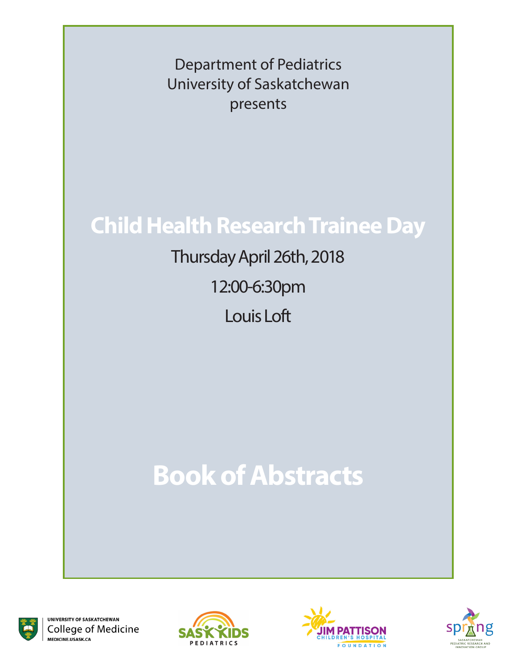Department of Pediatrics University of Saskatchewan presents

# **Child Health Research Trainee Day**

Thursday April 26th, 2018 12:00-6:30pm Louis Loft

# **Book of Abstracts**



UNIVERSITY OF SASKATCHEWAN College of Medicine MEDICINE.USASK.CA





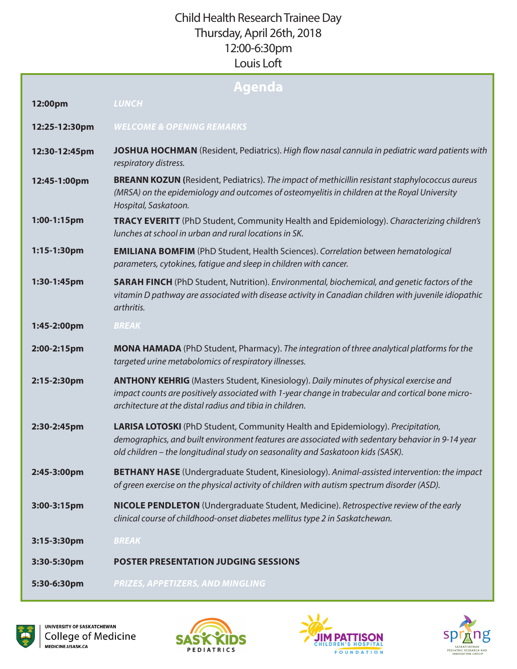# Child Health Research Trainee Day Thursday, April 26th, 2018 12:00-6:30pm Louis Loft

| Agenda        |                                                                                                                                                                                                                                                                        |
|---------------|------------------------------------------------------------------------------------------------------------------------------------------------------------------------------------------------------------------------------------------------------------------------|
| 12:00pm       | <b>LUNCH</b>                                                                                                                                                                                                                                                           |
| 12:25-12:30pm | <b>WELCOME &amp; OPENING REMARKS</b>                                                                                                                                                                                                                                   |
| 12:30-12:45pm | <b>JOSHUA HOCHMAN</b> (Resident, Pediatrics). High flow nasal cannula in pediatric ward patients with<br>respiratory distress.                                                                                                                                         |
| 12:45-1:00pm  | <b>BREANN KOZUN</b> (Resident, Pediatrics). The impact of methicillin resistant staphylococcus aureus<br>(MRSA) on the epidemiology and outcomes of osteomyelitis in children at the Royal University<br>Hospital, Saskatoon.                                          |
| 1:00-1:15pm   | <b>TRACY EVERITT</b> (PhD Student, Community Health and Epidemiology). Characterizing children's<br>lunches at school in urban and rural locations in SK.                                                                                                              |
| 1:15-1:30pm   | <b>EMILIANA BOMFIM</b> (PhD Student, Health Sciences). Correlation between hematological<br>parameters, cytokines, fatique and sleep in children with cancer.                                                                                                          |
| 1:30-1:45pm   | <b>SARAH FINCH</b> (PhD Student, Nutrition). Environmental, biochemical, and genetic factors of the<br>vitamin D pathway are associated with disease activity in Canadian children with juvenile idiopathic<br>arthritis.                                              |
| 1:45-2:00pm   | <b>BREAK</b>                                                                                                                                                                                                                                                           |
| 2:00-2:15pm   | MONA HAMADA (PhD Student, Pharmacy). The integration of three analytical platforms for the<br>targeted urine metabolomics of respiratory illnesses.                                                                                                                    |
| 2:15-2:30pm   | <b>ANTHONY KEHRIG</b> (Masters Student, Kinesiology). Daily minutes of physical exercise and<br>impact counts are positively associated with 1-year change in trabecular and cortical bone micro-<br>architecture at the distal radius and tibia in children.          |
| 2:30-2:45pm   | LARISA LOTOSKI (PhD Student, Community Health and Epidemiology). Precipitation,<br>demographics, and built environment features are associated with sedentary behavior in 9-14 year<br>old children - the longitudinal study on seasonality and Saskatoon kids (SASK). |
| 2:45-3:00pm   | <b>BETHANY HASE</b> (Undergraduate Student, Kinesiology). Animal-assisted intervention: the impact<br>of green exercise on the physical activity of children with autism spectrum disorder (ASD).                                                                      |
| 3:00-3:15pm   | NICOLE PENDLETON (Undergraduate Student, Medicine). Retrospective review of the early<br>clinical course of childhood-onset diabetes mellitus type 2 in Saskatchewan.                                                                                                  |
| 3:15-3:30pm   | <b>BREAK</b>                                                                                                                                                                                                                                                           |
| 3:30-5:30pm   | <b>POSTER PRESENTATION JUDGING SESSIONS</b>                                                                                                                                                                                                                            |
| 5:30-6:30pm   | PRIZES, APPETIZERS, AND MINGLING                                                                                                                                                                                                                                       |





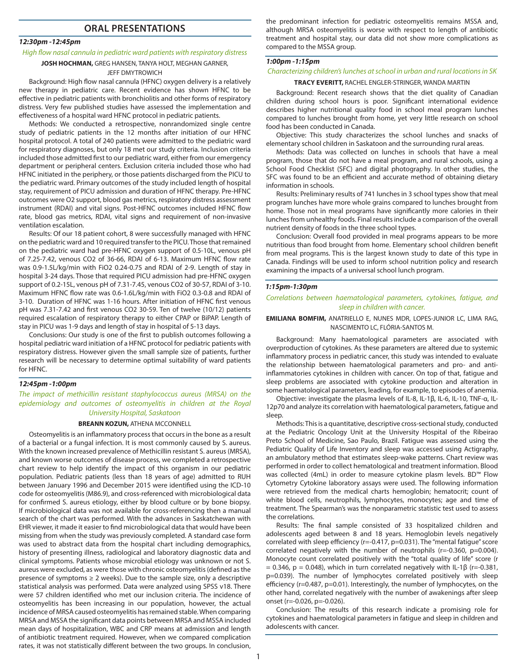### **ORAL PRESENTATIONS**

#### *12:30pm -12:45pm*

## *High flow nasal cannula in pediatric ward patients with respiratory distress*

## **JOSH HOCHMAN,** GREG HANSEN, TANYA HOLT, MEGHAN GARNER,

JEFF DMYTROWICH

Background: High flow nasal cannula (HFNC) oxygen delivery is a relatively new therapy in pediatric care. Recent evidence has shown HFNC to be effective in pediatric patients with bronchiolitis and other forms of respiratory distress. Very few published studies have assessed the implementation and effectiveness of a hospital ward HFNC protocol in pediatric patients.

Methods: We conducted a retrospective, nonrandomized single centre study of pediatric patients in the 12 months after initiation of our HFNC hospital protocol. A total of 240 patients were admitted to the pediatric ward for respiratory diagnoses, but only 18 met our study criteria. Inclusion criteria included those admitted first to our pediatric ward, either from our emergency department or peripheral centers. Exclusion criteria included those who had HFNC initiated in the periphery, or those patients discharged from the PICU to the pediatric ward. Primary outcomes of the study included length of hospital stay, requirement of PICU admission and duration of HFNC therapy. Pre-HFNC outcomes were O2 support, blood gas metrics, respiratory distress assessment instrument (RDAI) and vital signs. Post-HFNC outcomes included HFNC flow rate, blood gas metrics, RDAI, vital signs and requirement of non-invasive ventilation escalation.

Results: Of our 18 patient cohort, 8 were successfully managed with HFNC on the pediatric ward and 10 required transfer to the PICU. Those that remained on the pediatric ward had pre-HFNC oxygen support of 0.5-10L, venous pH of 7.25-7.42, venous CO2 of 36-66, RDAI of 6-13. Maximum HFNC flow rate was 0.9-1.5L/kg/min with FiO2 0.24-0.75 and RDAI of 2-9. Length of stay in hospital 3-24 days. Those that required PICU admission had pre-HFNC oxygen support of 0.2-15L, venous pH of 7.31-7.45, venous CO2 of 30-57, RDAI of 3-10. Maximum HFNC flow rate was 0.6-1.6L/kg/min with FiO2 0.3-0.8 and RDAI of 3-10. Duration of HFNC was 1-16 hours. After initiation of HFNC first venous pH was 7.31-7.42 and first venous CO2 30-59. Ten of twelve (10/12) patients required escalation of respiratory therapy to either CPAP or BiPAP. Length of stay in PICU was 1-9 days and length of stay in hospital of 5-13 days.

Conclusions: Our study is one of the first to publish outcomes following a hospital pediatric ward initiation of a HFNC protocol for pediatric patients with respiratory distress. However given the small sample size of patients, further research will be necessary to determine optimal suitability of ward patients for HFNC.

#### *12:45pm -1:00pm*

*The impact of methicillin resistant staphylococcus aureus (MRSA) on the epidemiology and outcomes of osteomyelitis in children at the Royal University Hospital, Saskatoon*

#### **BREANN KOZUN,** ATHENA MCCONNELL

Osteomyelitis is an inflammatory process that occurs in the bone as a result of a bacterial or a fungal infection. It is most commonly caused by S. aureus. With the known increased prevalence of Methicillin resistant S. aureus (MRSA), and known worse outcomes of disease process, we completed a retrospective chart review to help identify the impact of this organism in our pediatric population. Pediatric patients (less than 18 years of age) admitted to RUH between January 1996 and December 2015 were identified using the ICD-10 code for osteomyelitis (M86.9), and cross-referenced with microbiological data for confirmed S. aureus etiology, either by blood culture or by bone biopsy. If microbiological data was not available for cross-referencing then a manual search of the chart was performed. With the advances in Saskatchewan with EHR viewer, it made it easier to find microbiological data that would have been missing from when the study was previously completed. A standard case form was used to abstract data from the hospital chart including demographics, history of presenting illness, radiological and laboratory diagnostic data and clinical symptoms. Patients whose microbial etiology was unknown or not S. aureus were excluded, as were those with chronic osteomyelitis (defined as the presence of symptoms  $\geq 2$  weeks). Due to the sample size, only a descriptive statistical analysis was performed. Data were analyzed using SPSS v18. There were 57 children identified who met our inclusion criteria. The incidence of osteomyelitis has been increasing in our population, however, the actual incidence of MRSA caused osteomyelitis has remained stable. When comparing MRSA and MSSA the significant data points between MRSA and MSSA included mean days of hospitalization, WBC and CRP means at admission and length of antibiotic treatment required. However, when we compared complication rates, it was not statistically different between the two groups. In conclusion,

the predominant infection for pediatric osteomyelitis remains MSSA and, although MRSA osteomyelitis is worse with respect to length of antibiotic treatment and hospital stay, our data did not show more complications as compared to the MSSA group.

#### *1:00pm -1:15pm*

#### *Characterizing children's lunches at school in urban and rural locations in SK*

#### **TRACY EVERITT,** RACHEL ENGLER-STRINGER, WANDA MARTIN

Background: Recent research shows that the diet quality of Canadian children during school hours is poor. Significant international evidence describes higher nutritional quality food in school meal program lunches compared to lunches brought from home, yet very little research on school food has been conducted in Canada.

Objective: This study characterizes the school lunches and snacks of elementary school children in Saskatoon and the surrounding rural areas.

Methods: Data was collected on lunches in schools that have a meal program, those that do not have a meal program, and rural schools, using a School Food Checklist (SFC) and digital photography. In other studies, the SFC was found to be an efficient and accurate method of obtaining dietary information in schools.

Results: Preliminary results of 741 lunches in 3 school types show that meal program lunches have more whole grains compared to lunches brought from home. Those not in meal programs have significantly more calories in their lunches from unhealthy foods. Final results include a comparison of the overall nutrient density of foods in the three school types.

Conclusion: Overall food provided in meal programs appears to be more nutritious than food brought from home. Elementary school children benefit from meal programs. This is the largest known study to date of this type in Canada. Findings will be used to inform school nutrition policy and research examining the impacts of a universal school lunch program.

#### *1:15pm-1:30pm*

#### *Correlations between haematological parameters, cytokines, fatigue, and sleep in children with cancer.*

#### **EMILIANA BOMFIM,** ANATRIELLO E, NUNES MDR, LOPES-JUNIOR LC, LIMA RAG, NASCIMENTO LC, FLÓRIA-SANTOS M.

Background: Many haematological parameters are associated with overproduction of cytokines. As these parameters are altered due to systemic inflammatory process in pediatric cancer, this study was intended to evaluate the relationship between haematological parameters and pro- and antiinflammatories cytokines in children with cancer. On top of that, fatigue and sleep problems are associated with cytokine production and alteration in some haematological parameters, leading, for example, to episodes of anemia.

Objective: investigate the plasma levels of IL-8, IL-1β, IL-6, IL-10, TNF-α, IL-12p70 and analyze its correlation with haematological parameters, fatigue and sleep.

Methods: This is a quantitative, descriptive cross-sectional study, conducted at the Pediatric Oncology Unit at the University Hospital of the Ribeirao Preto School of Medicine, Sao Paulo, Brazil. Fatigue was assessed using the Pediatric Quality of Life Inventory and sleep was accessed using Actigraphy, an ambulatory method that estimates sleep-wake patterns. Chart review was performed in order to collect hematological and treatment information. Blood was collected (4mL) in order to measure cytokine plasm levels. BD™ Flow Cytometry Cytokine laboratory assays were used. The following information were retrieved from the medical charts hemoglobin; hematocrit; count of white blood cells, neutrophils, lymphocytes, monocytes; age and time of treatment. The Spearman's was the nonparametric statistic test used to assess the correlations.

Results: The final sample consisted of 33 hospitalized children and adolescents aged between 8 and 18 years. Hemoglobin levels negatively correlated with sleep efficiency (r=-0.417, p=0.031). The "mental fatigue" score correlated negatively with the number of neutrophils (r=-0.360, p=0.004). Monocyte count correlated positively with the "total quality of life" score (r = 0.346, p = 0.048), which in turn correlated negatively with IL-1β (r=-0.381, p=0.039). The number of lymphocytes correlated positively with sleep efficiency (r=0.487, p=0.01). Interestingly, the number of lymphocytes, on the other hand, correlated negatively with the number of awakenings after sleep onset (r=-0.026, p=-0.026).

Conclusion: The results of this research indicate a promising role for cytokines and haematological parameters in fatigue and sleep in children and adolescents with cancer.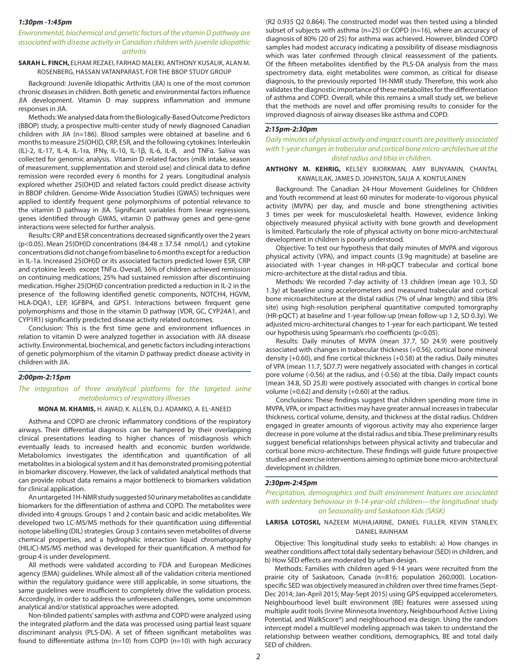#### *1:30pm -1:45pm*

#### *Environmental, biochemical and genetic factors of the vitamin D pathway are associated with disease activity in Canadian children with juvenile idiopathic arthritis*

#### **SARAH L. FINCH,** ELHAM REZAEI, FARHAD MALEKI, ANTHONY KUSALIK, ALAN M. ROSENBERG, HASSAN VATANPARAST, FOR THE BBOP STUDY GROUP

Background: Juvenile Idiopathic Arthritis (JIA) is one of the most common chronic diseases in children. Both genetic and environmental factors influence JIA development. Vitamin D may suppress inflammation and immune responses in JIA.

Methods: We analysed data from the Biologically-Based Outcome Predictors (BBOP) study, a prospective multi-center study of newly diagnosed Canadian children with JIA (n=186). Blood samples were obtained at baseline and 6 months to measure 25(OH)D, CRP, ESR, and the following cytokines: Interleukin (IL)-2, IL-17, IL-4, IL-1ra, IFNγ, IL-10, IL-1β, IL-6, IL-8, and TNFα. Saliva was collected for genomic analysis. Vitamin D related factors (milk intake, season of measurement, supplementation and steroid use) and clinical data to define remission were recorded every 6 months for 2 years. Longitudinal analysis explored whether 25(OH)D and related factors could predict disease activity in BBOP children. Genome-Wide Association Studies (GWAS) techniques were applied to identify frequent gene polymorphisms of potential relevance to the vitamin D pathway in JIA. Significant variables from linear regressions, genes identified through GWAS, vitamin D pathway genes and gene-gene interactions were selected for further analysis.

Results: CRP and ESR concentrations decreased significantly over the 2 years (p<0.05). Mean 25(OH)D concentrations (84.48  $\pm$  37.54 nmol/L) and cytokine concentrations did not change from baseline to 6 months except for a reduction in IL-1a. Increased 25(OH)D or its associated factors predicted lower ESR, CRP and cytokine levels except TNFα. Overall, 36% of children achieved remission on continuing medications; 25% had sustained remission after discontinuing medication. Higher 25(OH)D concentration predicted a reduction in IL-2 in the presence of the following identified genetic components, NOTCH4, HGVM, HLA-DQA1, LEP, IGFBP4, and GPS1. Interactions between frequent gene polymorphisms and those in the vitamin D pathway (VDR, GC, CYP24A1, and CYP1R1) significantly predicted disease activity related outcomes.

Conclusion: This is the first time gene and environment influences in relation to vitamin D were analyzed together in association with JIA disease activity. Environmental, biochemical, and genetic factors including interactions of genetic polymorphism of the vitamin D pathway predict disease activity in children with JIA.

#### *2:00pm-2:15pm*

#### *The integration of three analytical platforms for the targeted urine metabolomics of respiratory illnesses*

#### **MONA M. KHAMIS,** H. AWAD, K. ALLEN, D.J. ADAMKO, A. EL-ANEED

Asthma and COPD are chronic inflammatory conditions of the respiratory airways. Their differential diagnosis can be hampered by their overlapping clinical presentations leading to higher chances of misdiagnosis which eventually leads to increased health and economic burden worldwide. Metabolomics investigates the identification and quantification of all metabolites in a biological system and it has demonstrated promising potential in biomarker discovery. However, the lack of validated analytical methods that can provide robust data remains a major bottleneck to biomarkers validation for clinical application.

An untargeted 1H-NMR study suggested 50 urinary metabolites as candidate biomarkers for the differentiation of asthma and COPD. The metabolites were divided into 4 groups. Groups 1 and 2 contain basic and acidic metabolites. We developed two LC-MS/MS methods for their quantification using differential isotope labelling (DIL) strategies. Group 3 contains seven metabolites of diverse chemical properties, and a hydrophilic interaction liquid chromatography (HILIC)-MS/MS method was developed for their quantification. A method for group 4 is under development.

All methods were validated according to FDA and European Medicines agency (EMA) guidelines. While almost all of the validation criteria mentioned within the regulatory guidance were still applicable, in some situations, the same guidelines were insufficient to completely drive the validation process. Accordingly, in order to address the unforeseen challenges, some uncommon analytical and/or statistical approaches were adopted.

Non-blinded patients' samples with asthma and COPD were analyzed using the integrated platform and the data was processed using partial least square discriminant analysis (PLS-DA). A set of fifteen significant metabolites was found to differentiate asthma (n=10) from COPD (n=10) with high accuracy

(R2 0.935 Q2 0.864). The constructed model was then tested using a blinded subset of subjects with asthma (n=25) or COPD (n=16), where an accuracy of diagnosis of 80% (20 of 25) for asthma was achieved. However, blinded COPD samples had modest accuracy indicating a possibility of disease misdiagnosis which was later confirmed through clinical reassessment of the patients. Of the fifteen metabolites identified by the PLS-DA analysis from the mass spectrometry data, eight metabolites were common, as critical for disease diagnosis, to the previously reported 1H-NMR study. Therefore, this work also validates the diagnostic importance of these metabolites for the differentiation of asthma and COPD. Overall, while this remains a small study set, we believe that the methods are novel and offer promising results to consider for the improved diagnosis of airway diseases like asthma and COPD.

#### *2:15pm-2:30pm*

#### *Daily minutes of physical activity and impact counts are positively associated with 1-year changes in trabecular and cortical bone micro-architecture at the distal radius and tibia in children.*

#### **ANTHONY M. KEHRIG,** KELSEY BJORKMAN, AMY BUNYAMIN, CHANTAL KAWALILAK, JAMES D. JOHNSTON, SAIJA A. KONTULAINEN

Background: The Canadian 24-Hour Movement Guidelines for Children and Youth recommend at least 60 minutes for moderate-to-vigorous physical activity (MVPA) per day, and muscle and bone strengthening activities 3 times per week for musculoskeletal health. However, evidence linking objectively measured physical activity with bone growth and development is limited. Particularly the role of physical activity on bone micro-architectural development in children is poorly understood.

Objective: To test our hypothesis that daily minutes of MVPA and vigorous physical activity (VPA), and impact counts (3.9g magnitude) at baseline are associated with 1-year changes in HR-pQCT trabecular and cortical bone micro-architecture at the distal radius and tibia.

Methods: We recorded 7-day activity of 13 children (mean age 10.3, SD 1.3y) at baseline using accelerometers and measured trabecular and cortical bone microarchitecture at the distal radius (7% of ulnar length) and tibia (8% site) using high-resolution peripheral quantitative computed tomorgraphy (HR-pQCT) at baseline and 1-year follow-up (mean follow-up 1.2, SD 0.3y). We adjusted micro-architectural changes to 1-year for each participant. We tested our hypothesis using Spearman's rho coefficients (p<0.05).

Results: Daily minutes of MVPA (mean 37.7, SD 24.9) were positively associated with changes in trabecular thickness (+0.56), cortical bone mineral density (+0.60), and fine cortical thickness (+0.58) at the radius. Daily minutes of VPA (mean 11.7, SD7.7) were negatively associated with changes in cortical pore volume (-0.56) at the radius, and (-0.56) at the tibia. Daily impact counts (mean 34.8, SD 25.8) were postively associated with changes in cortical bone volume (+0.62) and density (+0.60) at the radius.

Conclusions: These findings suggest that children spending more time in MVPA, VPA, or impact activities may have greater annual increases in trabecular thickness, cortical volume, density, and thickness at the distal radius. Children engaged in greater amounts of vigorous activity may also experience larger decrease in pore volume at the distal radius and tibia. These preliminary results suggest beneficial relationships between physical activity and trabecular and cortical bone micro-architecture. These findings will guide future prospective studies and exercise interventions aiming to optimize bone micro-architectural development in children.

#### *2:30pm-2:45pm*

*Precipitation, demographics and built environment features are associated with sedentary behaviour in 9-14-year-old children—the longitudinal study on Seasonality and Saskatoon Kids (SASK)*

#### **LARISA LOTOSKI,** NAZEEM MUHAJARINE, DANIEL FULLER, KEVIN STANLEY, DANIEL RAINHAM

Objective: This longitudinal study seeks to establish: a) How changes in weather conditions affect total daily sedentary behaviour (SED) in children, and b) How SED effects are moderated by urban design.

Methods: Families with children aged 9-14 years were recruited from the prairie city of Saskatoon, Canada (n=816; population 260,000). Locationspecific SED was objectively measured in children over three time frames (Sept-Dec 2014; Jan-April 2015; May-Sept 2015) using GPS equipped accelerometers. Neighbourhood level built environment (BE) features were assessed using multiple audit tools (Irvine Minnesota Inventory, Neighbourhood Active Living Potential, and WalkScore®) and neighbourhood era design. Using the random intercept model a multilevel modeling approach was taken to understand the relationship between weather conditions, demographics, BE and total daily SED of children.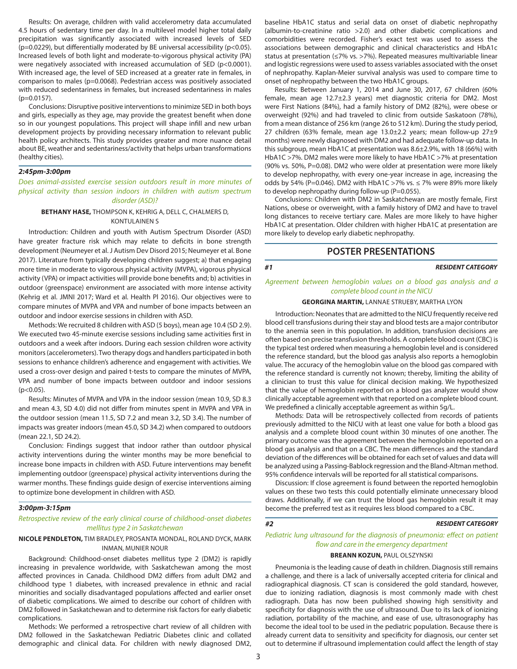Results: On average, children with valid accelerometry data accumulated 4.5 hours of sedentary time per day. In a multilevel model higher total daily precipitation was significantly associated with increased levels of SED ( $p=0.0229$ ), but differentially moderated by BE universal accessibility ( $p<0.05$ ). Increased levels of both light and moderate-to-vigorous physical activity (PA) were negatively associated with increased accumulation of SED (p<0.0001). With increased age, the level of SED increased at a greater rate in females, in comparison to males (p=0.0068). Pedestrian access was positively associated with reduced sedentariness in females, but increased sedentariness in males (p=0.0157).

Conclusions: Disruptive positive interventions to minimize SED in both boys and girls, especially as they age, may provide the greatest benefit when done so in our youngest populations. This project will shape infill and new urban development projects by providing necessary information to relevant public health policy architects. This study provides greater and more nuance detail about BE, weather and sedentariness/activity that helps urban transformations (healthy cities).

#### *2:45pm-3:00pm*

*Does animal-assisted exercise session outdoors result in more minutes of physical activity than session indoors in children with autism spectrum disorder (ASD)?*

#### **BETHANY HASE,** THOMPSON K, KEHRIG A, DELL C, CHALMERS D, KONTULAINEN S

Introduction: Children and youth with Autism Spectrum Disorder (ASD) have greater fracture risk which may relate to deficits in bone strength development (Neumeyer et al. J Autism Dev Disord 2015; Neumeyer et al. Bone 2017). Literature from typically developing children suggest; a) that engaging more time in moderate to vigorous physical activity (MVPA), vigorous physical activity (VPA) or impact activities will provide bone benefits and; b) activities in outdoor (greenspace) environment are associated with more intense activity (Kehrig et al. JMNI 2017; Ward et al. Health Pl 2016). Our objectives were to compare minutes of MVPA and VPA and number of bone impacts between an outdoor and indoor exercise sessions in children with ASD.

Methods: We recruited 8 children with ASD (5 boys), mean age 10.4 (SD 2.9). We executed two 45-minute exercise sessions including same activities first in outdoors and a week after indoors. During each session children wore activity monitors (accelerometers). Two therapy dogs and handlers participated in both sessions to enhance children's adherence and engagement with activities. We used a cross-over design and paired t-tests to compare the minutes of MVPA, VPA and number of bone impacts between outdoor and indoor sessions  $(p<0.05)$ .

Results: Minutes of MVPA and VPA in the indoor session (mean 10.9, SD 8.3 and mean 4.3, SD 4.0) did not differ from minutes spent in MVPA and VPA in the outdoor session (mean 11.5, SD 7.2 and mean 3.2, SD 3.4). The number of impacts was greater indoors (mean 45.0, SD 34.2) when compared to outdoors (mean 22.1, SD 24.2).

Conclusion: Findings suggest that indoor rather than outdoor physical activity interventions during the winter months may be more beneficial to increase bone impacts in children with ASD. Future interventions may benefit implementing outdoor (greenspace) physical activity interventions during the warmer months. These findings guide design of exercise interventions aiming to optimize bone development in children with ASD.

#### *3:00pm-3:15pm*

#### *Retrospective review of the early clinical course of childhood-onset diabetes mellitus type 2 in Saskatchewan*

#### **NICOLE PENDLETON,** TIM BRADLEY, PROSANTA MONDAL, ROLAND DYCK, MARK INMAN, MUNIER NOUR

Background: Childhood-onset diabetes mellitus type 2 (DM2) is rapidly increasing in prevalence worldwide, with Saskatchewan among the most affected provinces in Canada. Childhood DM2 differs from adult DM2 and childhood type 1 diabetes, with increased prevalence in ethnic and racial minorities and socially disadvantaged populations affected and earlier onset of diabetic complications. We aimed to describe our cohort of children with DM2 followed in Saskatchewan and to determine risk factors for early diabetic complications.

Methods: We performed a retrospective chart review of all children with DM2 followed in the Saskatchewan Pediatric Diabetes clinic and collated demographic and clinical data. For children with newly diagnosed DM2,

baseline HbA1C status and serial data on onset of diabetic nephropathy (albumin-to-creatinine ratio >2.0) and other diabetic complications and comorbidities were recorded. Fisher's exact test was used to assess the associations between demographic and clinical characteristics and HbA1c status at presentation (≤7% vs. >7%). Repeated measures multivariable linear and logistic regressions were used to assess variables associated with the onset of nephropathy. Kaplan-Meier survival analysis was used to compare time to onset of nephropathy between the two HbA1C groups.

Results: Between January 1, 2014 and June 30, 2017, 67 children (60% female, mean age 12.7±2.3 years) met diagnostic criteria for DM2. Most were First Nations (84%), had a family history of DM2 (82%), were obese or overweight (92%) and had traveled to clinic from outside Saskatoon (78%), from a mean distance of 256 km (range 26 to 512 km). During the study period, 27 children (63% female, mean age 13.0±2.2 years; mean follow-up 27±9 months) were newly diagnosed with DM2 and had adequate follow-up data. In this subgroup, mean HbA1C at presentation was 8.6±2.9%, with 18 (66%) with HbA1C >7%. DM2 males were more likely to have HbA1C >7% at presentation (90% vs. 50%, P=0.08). DM2 who were older at presentation were more likely to develop nephropathy, with every one-year increase in age, increasing the odds by 54% (P=0.046). DM2 with HbA1C >7% vs.  $\leq$  7% were 89% more likely to develop nephropathy during follow-up (P=0.055).

Conclusions: Children with DM2 in Saskatchewan are mostly female, First Nations, obese or overweight, with a family history of DM2 and have to travel long distances to receive tertiary care. Males are more likely to have higher HbA1C at presentation. Older children with higher HbA1C at presentation are more likely to develop early diabetic nephropathy.

### **POSTER PRESENTATIONS**

#### *#1 RESIDENT CATEGORY*

#### *Agreement between hemoglobin values on a blood gas analysis and a complete blood count in the NICU*

#### **GEORGINA MARTIN,** LANNAE STRUEBY, MARTHA LYON

Introduction: Neonates that are admitted to the NICU frequently receive red blood cell transfusions during their stay and blood tests are a major contributor to the anemia seen in this population. In addition, transfusion decisions are often based on precise transfusion thresholds. A complete blood count (CBC) is the typical test ordered when measuring a hemoglobin level and is considered the reference standard, but the blood gas analysis also reports a hemoglobin value. The accuracy of the hemoglobin value on the blood gas compared with the reference standard is currently not known; thereby, limiting the ability of a clinician to trust this value for clinical decision making. We hypothesized that the value of hemoglobin reported on a blood gas analyzer would show clinically acceptable agreement with that reported on a complete blood count. We predefined a clinically acceptable agreement as within 5g/L.

Methods: Data will be retrospectively collected from records of patients previously admitted to the NICU with at least one value for both a blood gas analysis and a complete blood count within 30 minutes of one another. The primary outcome was the agreement between the hemoglobin reported on a blood gas analysis and that on a CBC. The mean differences and the standard deviation of the differences will be obtained for each set of values and data will be analyzed using a Passing-Bablock regression and the Bland-Altman method. 95% confidence intervals will be reported for all statistical comparisons.

Discussion: If close agreement is found between the reported hemoglobin values on these two tests this could potentially eliminate unnecessary blood draws. Additionally, if we can trust the blood gas hemoglobin result it may become the preferred test as it requires less blood compared to a CBC.

#### *#2 RESIDENT CATEGORY*

*Pediatric lung ultrasound for the diagnosis of pneumonia: effect on patient flow and care in the emergency department* 

#### **BREANN KOZUN,** PAUL OLSZYNSKI

Pneumonia is the leading cause of death in children. Diagnosis still remains a challenge, and there is a lack of universally accepted criteria for clinical and radiographical diagnosis. CT scan is considered the gold standard, however, due to ionizing radiation, diagnosis is most commonly made with chest radiograph. Data has now been published showing high sensitivity and specificity for diagnosis with the use of ultrasound. Due to its lack of ionizing radiation, portability of the machine, and ease of use, ultrasonography has become the ideal tool to be used in the pediatric population. Because there is already current data to sensitivity and specificity for diagnosis, our center set out to determine if ultrasound implementation could affect the length of stay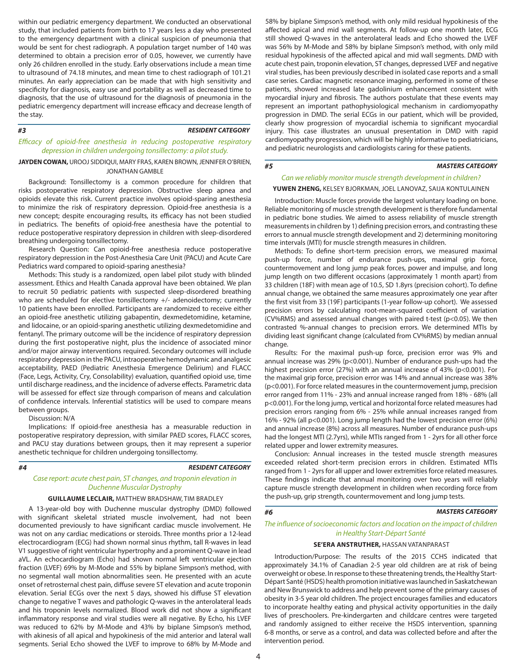within our pediatric emergency department. We conducted an observational study, that included patients from birth to 17 years less a day who presented to the emergency department with a clinical suspicion of pneumonia that would be sent for chest radiograph. A population target number of 140 was determined to obtain a precision error of 0.05, however, we currently have only 26 children enrolled in the study. Early observations include a mean time to ultrasound of 74.18 minutes, and mean time to chest radiograph of 101.21 minutes. An early appreciation can be made that with high sensitivity and specificity for diagnosis, easy use and portability as well as decreased time to diagnosis, that the use of ultrasound for the diagnosis of pneumonia in the pediatric emergency department will increase efficacy and decrease length of the stay.

#### *#3 RESIDENT CATEGORY*

#### *Efficacy of opioid-free anesthesia in reducing postoperative respiratory depression in children undergoing tonsillectomy: a pilot study.*

#### **JAYDEN COWAN,** UROOJ SIDDIQUI, MARY FRAS, KAREN BROWN, JENNIFER O'BRIEN, JONATHAN GAMBLE

Background: Tonsillectomy is a common procedure for children that risks postoperative respiratory depression. Obstructive sleep apnea and opioids elevate this risk. Current practice involves opioid-sparing anesthesia to minimize the risk of respiratory depression. Opioid-free anesthesia is a new concept; despite encouraging results, its efficacy has not been studied in pediatrics. The benefits of opioid-free anesthesia have the potential to reduce postoperative respiratory depression in children with sleep-disordered breathing undergoing tonsillectomy.

Research Question: Can opioid-free anesthesia reduce postoperative respiratory depression in the Post-Anesthesia Care Unit (PACU) and Acute Care Pediatrics ward compared to opioid-sparing anesthesia?

Methods: This study is a randomized, open label pilot study with blinded assessment. Ethics and Health Canada approval have been obtained. We plan to recruit 50 pediatric patients with suspected sleep-disordered breathing who are scheduled for elective tonsillectomy +/- adenoidectomy; currently 10 patients have been enrolled. Participants are randomized to receive either an opioid-free anesthetic utilizing gabapentin, dexmedetomidine, ketamine, and lidocaine, or an opioid-sparing anesthetic utilizing dexmedetomidine and fentanyl. The primary outcome will be the incidence of respiratory depression during the first postoperative night, plus the incidence of associated minor and/or major airway interventions required. Secondary outcomes will include respiratory depression in the PACU, intraoperative hemodynamic and analgesic acceptability, PAED (Pediatric Anesthesia Emergence Delirium) and FLACC (Face, Legs, Activity, Cry, Consolability) evaluation, quantified opioid use, time until discharge readiness, and the incidence of adverse effects. Parametric data will be assessed for effect size through comparison of means and calculation of confidence intervals. Inferential statistics will be used to compare means between groups.

Discussion: N/A

Implications: If opioid-free anesthesia has a measurable reduction in postoperative respiratory depression, with similar PAED scores, FLACC scores, and PACU stay durations between groups, then it may represent a superior anesthetic technique for children undergoing tonsillectomy.

#### *#4*

*RESIDENT CATEGORY*

#### *Case report: acute chest pain, ST changes, and troponin elevation in Duchenne Muscular Dystrophy*

#### **GUILLAUME LECLAIR,** MATTHEW BRADSHAW, TIM BRADLEY

A 13-year-old boy with Duchenne muscular dystrophy (DMD) followed with significant skeletal striated muscle involvement, had not been documented previously to have significant cardiac muscle involvement. He was not on any cardiac medications or steroids. Three months prior a 12-lead electrocardiogram (ECG) had shown normal sinus rhythm, tall R-waves in lead V1 suggestive of right ventricular hypertrophy and a prominent Q-wave in lead aVL. An echocardiogram (Echo) had shown normal left ventricular ejection fraction (LVEF) 69% by M-Mode and 55% by biplane Simpson's method, with no segmental wall motion abnormalities seen. He presented with an acute onset of retrosternal chest pain, diffuse severe ST elevation and acute troponin elevation. Serial ECGs over the next 5 days, showed his diffuse ST elevation change to negative T waves and pathologic Q-waves in the anterolateral leads and his troponin levels normalized. Blood work did not show a significant inflammatory response and viral studies were all negative. By Echo, his LVEF was reduced to 62% by M-Mode and 43% by biplane Simpson's method, with akinesis of all apical and hypokinesis of the mid anterior and lateral wall segments. Serial Echo showed the LVEF to improve to 68% by M-Mode and

58% by biplane Simpson's method, with only mild residual hypokinesis of the affected apical and mid wall segments. At follow-up one month later, ECG still showed Q-waves in the anterolateral leads and Echo showed the LVEF was 56% by M-Mode and 58% by biplane Simpson's method, with only mild residual hypokinesis of the affected apical and mid wall segments. DMD with acute chest pain, troponin elevation, ST changes, depressed LVEF and negative viral studies, has been previously described in isolated case reports and a small case series. Cardiac magnetic resonance imaging, performed in some of these patients, showed increased late gadolinium enhancement consistent with myocardial injury and fibrosis. The authors postulate that these events may represent an important pathophysiological mechanism in cardiomyopathy progression in DMD. The serial ECGs in our patient, which will be provided, clearly show progression of myocardial ischemia to significant myocardial injury. This case illustrates an unusual presentation in DMD with rapid cardiomyopathy progression, which will be highly informative to pediatricians, and pediatric neurologists and cardiologists caring for these patients.

#### *#5*

*MASTERS CATEGORY*

## *Can we reliably monitor muscle strength development in children?*

#### **YUWEN ZHENG,** KELSEY BJORKMAN, JOEL LANOVAZ, SAIJA KONTULAINEN

Introduction: Muscle forces provide the largest voluntary loading on bone. Reliable monitoring of muscle strength development is therefore fundamental in pediatric bone studies. We aimed to assess reliability of muscle strength measurements in children by 1) defining precision errors, and contrasting these errors to annual muscle strength development and 2) determining monitoring time intervals (MTI) for muscle strength measures in children.

Methods: To define short-term precision errors, we measured maximal push-up force, number of endurance push-ups, maximal grip force, countermovement and long jump peak forces, power and impulse, and long jump length on two different occasions (approximately 1 month apart) from 33 children (18F) with mean age of 10.5, SD 1.8yrs (precision cohort). To define annual change, we obtained the same measures approximately one year after the first visit from 33 (19F) participants (1-year follow-up cohort). We assessed precision errors by calculating root-mean-squared coefficient of variation (CV%RMS) and assessed annual changes with paired t-test (p<0.05). We then contrasted %-annual changes to precision errors. We determined MTIs by dividing least significant change (calculated from CV%RMS) by median annual change.

Results: For the maximal push-up force, precision error was 9% and annual increase was 29% (p<0.001). Number of endurance push-ups had the highest precision error (27%) with an annual increase of 43% (p<0.001). For the maximal grip force, precision error was 14% and annual increase was 38% (p<0.001). For force related measures in the countermovement jump, precision error ranged from 11% - 23% and annual increase ranged from 18% - 68% (all p<0.001). For the long jump, vertical and horizontal force related measures had precision errors ranging from 6% - 25% while annual increases ranged from 16% - 92% (all p<0.001). Long jump length had the lowest precision error (6%) and annual increase (8%) across all measures. Number of endurance push-ups had the longest MTI (2.7yrs), while MTIs ranged from 1 - 2yrs for all other force related upper and lower extremity measures.

Conclusion: Annual increases in the tested muscle strength measures exceeded related short-term precision errors in children. Estimated MTIs ranged from 1 - 2yrs for all upper and lower extremities force related measures. These findings indicate that annual monitoring over two years will reliably capture muscle strength development in children when recording force from the push-up, grip strength, countermovement and long jump tests.

#### *#6 MASTERS CATEGORY*

*The influence of socioeconomic factors and location on the impact of children in Healthy Start-Départ Santé* 

#### **SE'ERA ANSTRUTHER,** HASSAN VATANPARAST

Introduction/Purpose: The results of the 2015 CCHS indicated that approximately 34.1% of Canadian 2-5 year old children are at risk of being overweight or obese. In response to these threatening trends, the Healthy Start-Départ Santé (HSDS) health promotion initiative was launched in Saskatchewan and New Brunswick to address and help prevent some of the primary causes of obesity in 3-5 year old children. The project encourages families and educators to incorporate healthy eating and physical activity opportunities in the daily lives of preschoolers. Pre-kindergarten and childcare centres were targeted and randomly assigned to either receive the HSDS intervention, spanning 6-8 months, or serve as a control, and data was collected before and after the intervention period.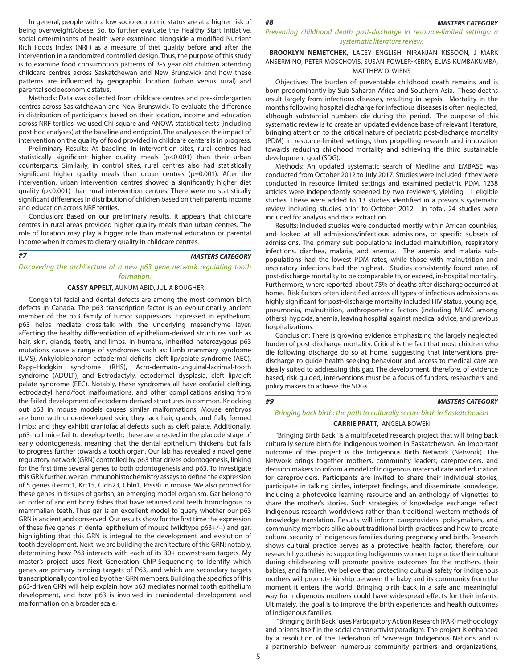In general, people with a low socio-economic status are at a higher risk of  $#8$  MASTERS CATEGORY being overweight/obese. So, to further evaluate the Healthy Start Initiative, social determinants of health were examined alongside a modified Nutrient Rich Foods Index (NRF) as a measure of diet quality before and after the intervention in a randomized controlled design. Thus, the purpose of this study is to examine food consumption patterns of 3-5 year old children attending childcare centres across Saskatchewan and New Brunswick and how these patterns are influenced by geographic location (urban versus rural) and parental socioeconomic status.

Methods: Data was collected from childcare centres and pre-kindergarten centres across Saskatchewan and New Brunswick. To evaluate the difference in distribution of participants based on their location, income and education across NRF tertiles, we used Chi-square and ANOVA statistical tests (including post-hoc analyses) at the baseline and endpoint. The analyses on the impact of intervention on the quality of food provided in childcare centers is in progress.

Preliminary Results: At baseline, in intervention sites, rural centres had statistically significant higher quality meals (p<0.001) than their urban counterparts. Similarly, in control sites, rural centres also had statistically significant higher quality meals than urban centres (p=0.001). After the intervention, urban intervention centres showed a significantly higher diet quality (p<0.001) than rural intervention centres. There were no statistically significant differences in distribution of children based on their parents income and education across NRF tertiles.

Conclusion: Based on our preliminary results, it appears that childcare centres in rural areas provided higher quality meals than urban centres. The role of location may play a bigger role than maternal education or parental income when it comes to dietary quality in childcare centres.

#### *#7*

#### *MASTERS CATEGORY*

*Discovering the architecture of a new p63 gene network regulating tooth formation.* 

#### **CASSY APPELT,** AUNUM ABID, JULIA BOUGHER

Congenital facial and dental defects are among the most common birth defects in Canada. The p63 transcription factor is an evolutionarily ancient member of the p53 family of tumor suppressors. Expressed in epithelium, p63 helps mediate cross-talk with the underlying mesenchyme layer, affecting the healthy differentiation of epithelium-derived structures such as hair, skin, glands, teeth, and limbs. In humans, inherited heterozygous p63 mutations cause a range of syndromes such as: Limb mammary syndrome (LMS), Ankyloblepharon-ectodermal deficits–cleft lip/palate syndrome (AEC), Rapp-Hodgkin syndrome (RHS), Acro-dermato-unguinal-lacrimal-tooth syndrome (ADULT), and Ectrodactyly, ectodermal dysplasia, cleft lip/cleft palate syndrome (EEC). Notably, these syndromes all have orofacial clefting, ectrodactyl hand/foot malformations, and other complications arising from the failed development of ectoderm-derived structures in common. Knocking out p63 in mouse models causes similar malformations. Mouse embryos are born with underdeveloped skin; they lack hair, glands, and fully formed limbs; and they exhibit craniofacial defects such as cleft palate. Additionally, p63-null mice fail to develop teeth; these are arrested in the placode stage of early odontogenesis, meaning that the dental epithelium thickens but fails to progress further towards a tooth organ. Our lab has revealed a novel gene regulatory network (GRN) controlled by p63 that drives odontogenesis, linking for the first time several genes to both odontogenesis and p63. To investigate this GRN further, we ran immunohistochemistry assays to define the expression of 5 genes (Fermt1, Krt15, Cldn23, Cbln1, Prss8) in mouse. We also probed for these genes in tissues of garfish, an emerging model organism. Gar belong to an order of ancient bony fishes that have retained oral teeth homologous to mammalian teeth. Thus gar is an excellent model to query whether our p63 GRN is ancient and conserved. Our results show for the first time the expression of these five genes in dental epithelium of mouse (wildtype p63+/+) and gar, highlighting that this GRN is integral to the development and evolution of tooth development. Next, we are building the architecture of this GRN; notably, determining how P63 interacts with each of its 30+ downstream targets. My master's project uses Next Generation ChIP-Sequencing to identify which genes are primary binding targets of P63, and which are secondary targets transcriptionally controlled by other GRN members. Building the specifics of this p63-driven GRN will help explain how p63 mediates normal tooth epithelium development, and how p63 is involved in craniodental development and malformation on a broader scale.

*Preventing childhood death post-discharge in resource-limited settings: a systematic literature review.*

#### **BROOKLYN NEMETCHEK,** LACEY ENGLISH, NIRANJAN KISSOON, J MARK ANSERMINO, PETER MOSCHOVIS, SUSAN FOWLER-KERRY, ELIAS KUMBAKUMBA, MATTHEW O. WIENS

Objectives: The burden of preventable childhood death remains and is born predominantly by Sub-Saharan Africa and Southern Asia. These deaths result largely from infectious diseases, resulting in sepsis. Mortality in the months following hospital discharge for infectious diseases is often neglected, although substantial numbers die during this period. The purpose of this systematic review is to create an updated evidence base of relevant literature, bringing attention to the critical nature of pediatric post-discharge mortality (PDM) in resource-limited settings, thus propelling research and innovation towards reducing childhood mortality and achieving the third sustainable development goal (SDG).

Methods: An updated systematic search of Medline and EMBASE was conducted from October 2012 to July 2017. Studies were included if they were conducted in resource limited settings and examined pediatric PDM. 1238 articles were independently screened by two reviewers, yielding 11 eligible studies. These were added to 13 studies identified in a previous systematic review including studies prior to October 2012. In total, 24 studies were included for analysis and data extraction.

Results: Included studies were conducted mostly within African countries, and looked at all admissions/infectious admissions, or specific subsets of admissions. The primary sub-populations included malnutrition, respiratory infections, diarrhea, malaria, and anemia. The anemia and malaria subpopulations had the lowest PDM rates, while those with malnutrition and respiratory infections had the highest. Studies consistently found rates of post-discharge mortality to be comparable to, or exceed, in-hospital mortality. Furthermore, where reported, about 75% of deaths after discharge occurred at home. Risk factors often identified across all types of infectious admissions as highly significant for post-discharge mortality included HIV status, young age, pneumonia, malnutrition, anthropometric factors (including MUAC among others), hypoxia, anemia, leaving hospital against medical advice, and previous hospitalizations.

Conclusion: There is growing evidence emphasizing the largely neglected burden of post-discharge mortality. Critical is the fact that most children who die following discharge do so at home, suggesting that interventions predischarge to guide health seeking behaviour and access to medical care are ideally suited to addressing this gap. The development, therefore, of evidence based, risk-guided, interventions must be a focus of funders, researchers and policy makers to achieve the SDGs.

#### *Bringing back birth: the path to culturally secure birth in Saskatchewan*

#### **CARRIE PRATT,** ANGELA BOWEN

"Bringing Birth Back" is a multifaceted research project that will bring back culturally secure birth for Indigenous women in Saskatchewan. An important outcome of the project is the Indigenous Birth Network (Network). The Network brings together mothers, community leaders, careproviders, and decision makers to inform a model of Indigenous maternal care and education for careproviders. Participants are invited to share their individual stories, participate in talking circles, interpret findings, and disseminate knowledge, including a photovoice learning resource and an anthology of vignettes to share the mother's stories. Such strategies of knowledge exchange reflect Indigenous research worldviews rather than traditional western methods of knowledge translation. Results will inform careproviders, policymakers, and community members alike about traditional birth practices and how to create cultural security of Indigenous families during pregnancy and birth. Research shows cultural practice serves as a protective health factor; therefore, our research hypothesis is: supporting Indigenous women to practice their culture during childbearing will promote positive outcomes for the mothers, their babies, and families. We believe that protecting cultural safety for Indigenous mothers will promote kinship between the baby and its community from the moment it enters the world. Bringing birth back in a safe and meaningful way for Indigenous mothers could have widespread effects for their infants. Ultimately, the goal is to improve the birth experiences and health outcomes of Indigenous families.

 "Bringing Birth Back" uses Participatory Action Research (PAR) methodology and orients itself in the social constructivist paradigm. The project is enhanced by a resolution of the Federation of Sovereign Indigenous Nations and is a partnership between numerous community partners and organizations,

*#9 MASTERS CATEGORY*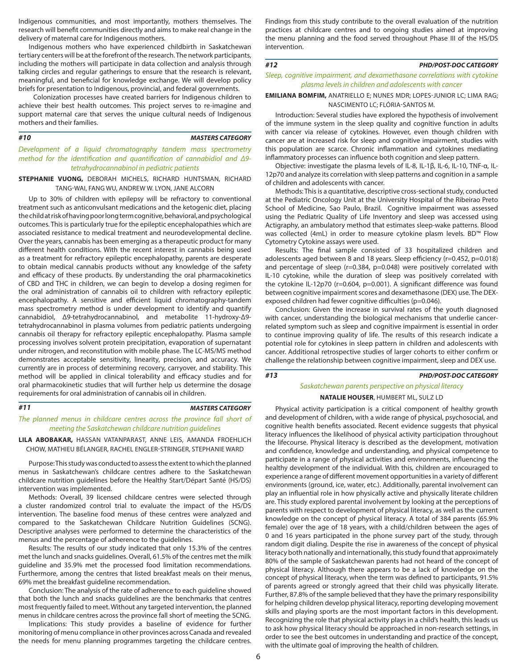Indigenous communities, and most importantly, mothers themselves. The research will benefit communities directly and aims to make real change in the delivery of maternal care for Indigenous mothers.

Indigenous mothers who have experienced childbirth in Saskatchewan tertiary centers will be at the forefront of the research. The network participants, including the mothers will participate in data collection and analysis through talking circles and regular gatherings to ensure that the research is relevant, meaningful, and beneficial for knowledge exchange. We will develop policy briefs for presentation to Indigenous, provincial, and federal governments.

 Colonization processes have created barriers for Indigenous children to achieve their best health outcomes. This project serves to re-imagine and support maternal care that serves the unique cultural needs of Indigenous mothers and their families.

#### *#10*

#### *MASTERS CATEGORY*

*Development of a liquid chromatography tandem mass spectrometry method for the identification and quantification of cannabidiol and Δ9 tetrahydrocannabinol in pediatric patients*

**STEPHANIE VUONG,** DEBORAH MICHELS, RICHARD HUNTSMAN, RICHARD TANG-WAI, FANG WU, ANDREW W. LYON, JANE ALCORN

Up to 30% of children with epilepsy will be refractory to conventional treatment such as anticonvulsant medications and the ketogenic diet, placing the child at risk of having poor long term cognitive, behavioral, and psychological outcomes. This is particularly true for the epileptic encephalopathies which are associated resistance to medical treatment and neurodevelopmental decline. Over the years, cannabis has been emerging as a therapeutic product for many different health conditions. With the recent interest in cannabis being used as a treatment for refractory epileptic encephalopathy, parents are desperate to obtain medical cannabis products without any knowledge of the safety and efficacy of these products. By understanding the oral pharmacokinetics of CBD and THC in children, we can begin to develop a dosing regimen for the oral administration of cannabis oil to children with refractory epileptic encephalopathy. A sensitive and efficient liquid chromatography-tandem mass spectrometry method is under development to identify and quantify cannabidiol, Δ9-tetrahydrocannabinol, and metabolite 11-hydroxy-Δ9 tetrahydrocannabinol in plasma volumes from pediatric patients undergoing cannabis oil therapy for refractory epileptic encephalopathy. Plasma sample processing involves solvent protein precipitation, evaporation of supernatant under nitrogen, and reconstitution with mobile phase. The LC-MS/MS method demonstrates acceptable sensitivity, linearity, precision, and accuracy. We currently are in process of determining recovery, carryover, and stability. This method will be applied in clinical tolerability and efficacy studies and for oral pharmacokinetic studies that will further help us determine the dosage requirements for oral administration of cannabis oil in children.

#### *#11*

#### *MASTERS CATEGORY*

The planned menus in childcare centres across the province fall short of *meeting the Saskatchewan childcare nutrition guidelines*

**LILA ABOBAKAR,** HASSAN VATANPARAST, ANNE LEIS, AMANDA FROEHLICH CHOW, MATHIEU BÉLANGER, RACHEL ENGLER-STRINGER, STEPHANIE WARD

Purpose: This study was conducted to assess the extent to which the planned menus in Saskatchewan's childcare centres adhere to the Saskatchewan childcare nutrition guidelines before the Healthy Start/Départ Santé (HS/DS) intervention was implemented.

Methods: Overall, 39 licensed childcare centres were selected through a cluster randomized control trial to evaluate the impact of the HS/DS intervention. The baseline food menus of these centres were analyzed and compared to the Saskatchewan Childcare Nutrition Guidelines (SCNG). Descriptive analyses were performed to determine the characteristics of the menus and the percentage of adherence to the guidelines.

Results: The results of our study indicated that only 15.3% of the centres met the lunch and snacks guidelines. Overall, 61.5% of the centres met the milk guideline and 35.9% met the processed food limitation recommendations. Furthermore, among the centres that listed breakfast meals on their menus, 69% met the breakfast guideline recommendation.

Conclusion: The analysis of the rate of adherence to each guideline showed that both the lunch and snacks guidelines are the benchmarks that centres most frequently failed to meet. Without any targeted intervention, the planned menus in childcare centres across the province fall short of meeting the SCNG.

Implications: This study provides a baseline of evidence for further monitoring of menu compliance in other provinces across Canada and revealed the needs for menu planning programmes targeting the childcare centres.

Findings from this study contribute to the overall evaluation of the nutrition practices at childcare centres and to ongoing studies aimed at improving the menu planning and the food served throughout Phase III of the HS/DS intervention.

#### *#12*

#### *Sleep, cognitive impairment, and dexamethasone correlations with cytokine plasma levels in children and adolescents with cancer*

#### **EMILIANA BOMFIM,** ANATRIELLO E; NUNES MDR; LOPES-JUNIOR LC; LIMA RAG; NASCIMENTO LC; FLÓRIA-SANTOS M.

Introduction: Several studies have explored the hypothesis of involvement of the immune system in the sleep quality and cognitive function in adults with cancer via release of cytokines. However, even though children with cancer are at increased risk for sleep and cognitive impairment, studies with this population are scarce. Chronic inflammation and cytokines mediating inflammatory processes can influence both cognition and sleep pattern.

Objective: investigate the plasma levels of IL-8, IL-1β, IL-6, IL-10, TNF-α, IL-12p70 and analyze its correlation with sleep patterns and cognition in a sample of children and adolescents with cancer.

Methods: This is a quantitative, descriptive cross-sectional study, conducted at the Pediatric Oncology Unit at the University Hospital of the Ribeirao Preto School of Medicine, Sao Paulo, Brazil. Cognitive impairment was assessed using the Pediatric Quality of Life Inventory and sleep was accessed using Actigraphy, an ambulatory method that estimates sleep-wake patterns. Blood was collected (4mL) in order to measure cytokine plasm levels. BD<sup>™</sup> Flow Cytometry Cytokine assays were used.

Results: The final sample consisted of 33 hospitalized children and adolescents aged between 8 and 18 years. Sleep efficiency (r=0.452, p=0.018) and percentage of sleep (r=0.384, p=0.048) were positively correlated with IL-10 cytokine, while the duration of sleep was positively correlated with the cytokine IL-12p70 (r=0.604, p=0.001). A significant difference was found between cognitive impairment scores and dexamethasone (DEX) use. The DEXexposed children had fewer cognitive difficulties (p=0.046).

Conclusion: Given the increase in survival rates of the youth diagnosed with cancer, understanding the biological mechanisms that underlie cancerrelated symptom such as sleep and cognitive impairment is essential in order to continue improving quality of life. The results of this research indicate a potential role for cytokines in sleep pattern in children and adolescents with cancer. Additional retrospective studies of larger cohorts to either confirm or challenge the relationship between cognitive impairment, sleep and DEX use.

#### *#13 PHD/POST-DOC CATEGORY*

*PHD/POST-DOC CATEGORY*

## *Saskatchewan parents perspective on physical literacy*  **NATALIE HOUSER**, HUMBERT ML, SULZ LD

Physical activity participation is a critical component of healthy growth and development of children, with a wide range of physical, psychosocial, and cognitive health benefits associated. Recent evidence suggests that physical literacy influences the likelihood of physical activity participation throughout the lifecourse. Physical literacy is described as the development, motivation and confidence, knowledge and understanding, and physical competence to participate in a range of physical activities and environments, influencing the healthy development of the individual. With this, children are encouraged to experience a range of different movement opportunities in a variety of different environments (ground, ice, water, etc.). Additionally, parental involvement can play an influential role in how physically active and physically literate children are. This study explored parental involvement by looking at the perceptions of parents with respect to development of physical literacy, as well as the current knowledge on the concept of physical literacy. A total of 384 parents (65.9% female) over the age of 18 years, with a child/children between the ages of 0 and 16 years participated in the phone survey part of the study, through random digit dialing. Despite the rise in awareness of the concept of physical literacy both nationally and internationally, this study found that approximately 80% of the sample of Saskatchewan parents had not heard of the concept of physical literacy. Although there appears to be a lack of knowledge on the concept of physical literacy, when the term was defined to participants, 91.5% of parents agreed or strongly agreed that their child was physically literate. Further, 87.8% of the sample believed that they have the primary responsibility for helping children develop physical literacy, reporting developing movement skills and playing sports are the most important factors in this development. Recognizing the role that physical activity plays in a child's health, this leads us to ask how physical literacy should be approached in non-research settings, in order to see the best outcomes in understanding and practice of the concept, with the ultimate goal of improving the health of children.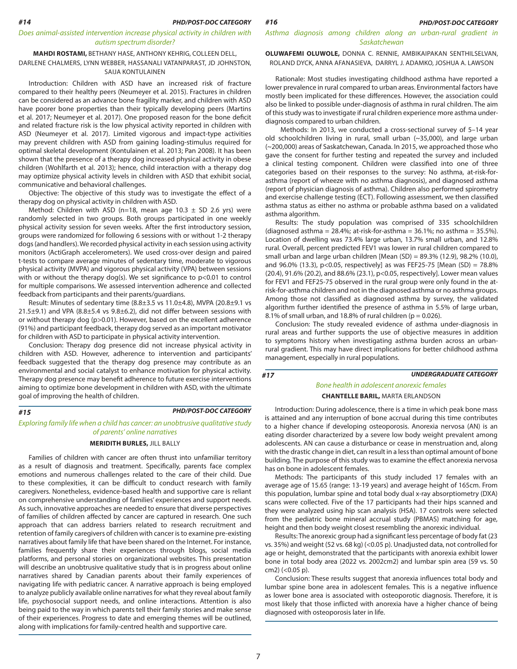#### *Does animal-assisted intervention increase physical activity in children with autism spectrum disorder?*

#### **MAHDI ROSTAMI,** BETHANY HASE, ANTHONY KEHRIG, COLLEEN DELL, DARLENE CHALMERS, LYNN WEBBER, HASSANALI VATANPARAST, JD JOHNSTON, SAIJA KONTULAINEN

Introduction: Children with ASD have an increased risk of fracture compared to their healthy peers (Neumeyer et al. 2015). Fractures in children can be considered as an advance bone fragility marker, and children with ASD have poorer bone properties than their typically developing peers (Martins et al. 2017; Neumeyer et al. 2017). One proposed reason for the bone deficit and related fracture risk is the low physical activity reported in children with ASD (Neumeyer et al. 2017). Limited vigorous and impact-type activities may prevent children with ASD from gaining loading-stimulus required for optimal skeletal development (Kontulainen et al. 2013; Pan 2008). It has been shown that the presence of a therapy dog increased physical activity in obese children (Wohlfarth et al. 2013); hence, child interaction with a therapy dog may optimize physical activity levels in children with ASD that exhibit social, communicative and behavioral challenges.

Objective: The objective of this study was to investigate the effect of a therapy dog on physical activity in children with ASD.

Method: Children with ASD (n=18, mean age 10.3  $\pm$  SD 2.6 yrs) were randomly selected in two groups. Both groups participated in one weekly physical activity session for seven weeks. After the first introductory session, groups were randomized for following 6 sessions with or without 1-2 therapy dogs (and handlers). We recorded physical activity in each session using activity monitors (ActiGraph accelerometers). We used cross-over design and paired t-tests to compare average minutes of sedentary time, moderate to vigorous physical activity (MVPA) and vigorous physical activity (VPA) between sessions with or without the therapy dog(s). We set significance to p<0.01 to control for multiple comparisons. We assessed intervention adherence and collected feedback from participants and their parents/guardians.

Result: Minutes of sedentary time (8.8±3.5 vs 11.0±4.8), MVPA (20.8±9.1 vs 21.5 $\pm$ 9.1) and VPA (8.8 $\pm$ 5.4 vs 9.8 $\pm$ 6.2), did not differ between sessions with or without therapy dog (p>0.01). However, based on the excellent adherence (91%) and participant feedback, therapy dog served as an important motivator for children with ASD to participate in physical activity intervention.

Conclusion: Therapy dog presence did not increase physical activity in children with ASD. However, adherence to intervention and participants' feedback suggested that the therapy dog presence may contribute as an environmental and social catalyst to enhance motivation for physical activity. Therapy dog presence may benefit adherence to future exercise interventions aiming to optimize bone development in children with ASD, with the ultimate goal of improving the health of children.

#### *#15*

#### *PHD/POST-DOC CATEGORY*

#### *Exploring family life when a child has cancer: an unobtrusive qualitative study of parents' online narratives*

#### **MERIDITH BURLES,** JILL BALLY

Families of children with cancer are often thrust into unfamiliar territory as a result of diagnosis and treatment. Specifically, parents face complex emotions and numerous challenges related to the care of their child. Due to these complexities, it can be difficult to conduct research with family caregivers. Nonetheless, evidence-based health and supportive care is reliant on comprehensive understanding of families' experiences and support needs. As such, innovative approaches are needed to ensure that diverse perspectives of families of children affected by cancer are captured in research. One such approach that can address barriers related to research recruitment and retention of family caregivers of children with cancer is to examine pre-existing narratives about family life that have been shared on the Internet. For instance, families frequently share their experiences through blogs, social media platforms, and personal stories on organizational websites. This presentation will describe an unobtrusive qualitative study that is in progress about online narratives shared by Canadian parents about their family experiences of navigating life with pediatric cancer. A narrative approach is being employed to analyze publicly available online narratives for what they reveal about family life, psychosocial support needs, and online interactions. Attention is also being paid to the way in which parents tell their family stories and make sense of their experiences. Progress to date and emerging themes will be outlined, along with implications for family-centred health and supportive care.

*Asthma diagnosis among children along an urban-rural gradient in Saskatchewan* 

**OLUWAFEMI OLUWOLE,** DONNA C. RENNIE, AMBIKAIPAKAN SENTHILSELVAN, ROLAND DYCK, ANNA AFANASIEVA, DARRYL J. ADAMKO, JOSHUA A. LAWSON

Rationale: Most studies investigating childhood asthma have reported a lower prevalence in rural compared to urban areas. Environmental factors have mostly been implicated for these differences. However, the association could also be linked to possible under-diagnosis of asthma in rural children. The aim of this study was to investigate if rural children experience more asthma underdiagnosis compared to urban children.

 Methods: In 2013, we conducted a cross-sectional survey of 5–14 year old schoolchildren living in rural, small urban (~35,000), and large urban (~200,000) areas of Saskatchewan, Canada. In 2015, we approached those who gave the consent for further testing and repeated the survey and included a clinical testing component. Children were classified into one of three categories based on their responses to the survey: No asthma, at-risk-forasthma (report of wheeze with no asthma diagnosis), and diagnosed asthma (report of physician diagnosis of asthma). Children also performed spirometry and exercise challenge testing (ECT). Following assessment, we then classified asthma status as either no asthma or probable asthma based on a validated asthma algorithm.

Results: The study population was comprised of 335 schoolchildren (diagnosed asthma = 28.4%; at-risk-for-asthma = 36.1%; no asthma = 35.5%). Location of dwelling was 73.4% large urban, 13.7% small urban, and 12.8% rural. Overall, percent predicted FEV1 was lower in rural children compared to small urban and large urban children [Mean (SD) = 89.3% (12.9), 98.2% (10.0), and 96.0% (13.3), p<0.05, respectively] as was FEF25-75 [Mean (SD) = 78.8% (20.4), 91.6% (20.2), and 88.6% (23.1), p<0.05, respectively]. Lower mean values for FEV1 and FEF25-75 observed in the rural group were only found in the atrisk-for-asthma children and not in the diagnosed asthma or no asthma groups. Among those not classified as diagnosed asthma by survey, the validated algorithm further identified the presence of asthma in 5.5% of large urban, 8.1% of small urban, and 18.8% of rural children ( $p = 0.026$ ).

Conclusion: The study revealed evidence of asthma under-diagnosis in rural areas and further supports the use of objective measures in addition to symptoms history when investigating asthma burden across an urbanrural gradient. This may have direct implications for better childhood asthma management, especially in rural populations.

*#17*

#### *UNDERGRADUATE CATEGORY*

## *Bone health in adolescent anorexic females* **CHANTELLE BARIL,** MARTA ERLANDSON

Introduction: During adolescence, there is a time in which peak bone mass is attained and any interruption of bone accrual during this time contributes to a higher chance if developing osteoporosis. Anorexia nervosa (AN) is an eating disorder characterized by a severe low body weight prevalent among adolescents. AN can cause a disturbance or cease in menstruation and, along with the drastic change in diet, can result in a less than optimal amount of bone building. The purpose of this study was to examine the effect anorexia nervosa has on bone in adolescent females.

Methods: The participants of this study included 17 females with an average age of 15.65 (range: 13-19 years) and average height of 165cm. From this population, lumbar spine and total body dual x-ray absorptiometry (DXA) scans were collected. Five of the 17 participants had their hips scanned and they were analyzed using hip scan analysis (HSA). 17 controls were selected from the pediatric bone mineral accrual study (PBMAS) matching for age, height and then body weight closest resembling the anorexic individual.

Results: The anorexic group had a significant less percentage of body fat (23 vs. 35%) and weight (52 vs. 68 kg) (<0.05 p). Unadjusted data, not controlled for age or height, demonstrated that the participants with anorexia exhibit lower bone in total body area (2022 vs. 2002cm2) and lumbar spin area (59 vs. 50 cm2) (<0.05 p).

Conclusion: These results suggest that anorexia influences total body and lumbar spine bone area in adolescent females. This is a negative influence as lower bone area is associated with osteoporotic diagnosis. Therefore, it is most likely that those inflicted with anorexia have a higher chance of being diagnosed with osteoporosis later in life.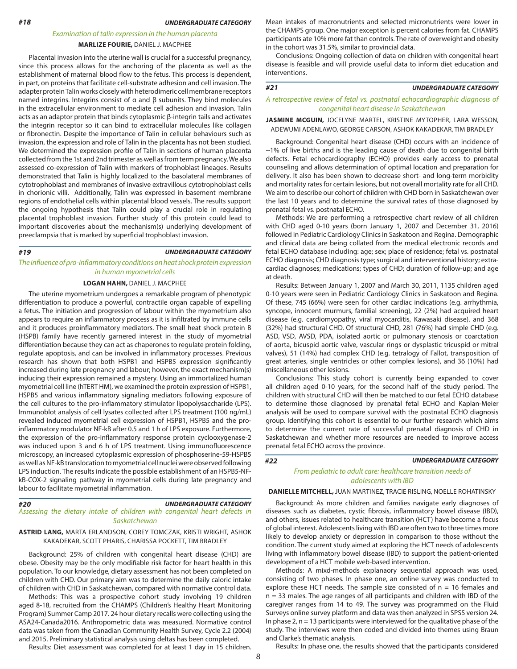*UNDERGRADUATE CATEGORY*

#### *Examination of talin expression in the human placenta*

#### **MARLIZE FOURIE,** DANIEL J. MACPHEE

Placental invasion into the uterine wall is crucial for a successful pregnancy, since this process allows for the anchoring of the placenta as well as the establishment of maternal blood flow to the fetus. This process is dependent, in part, on proteins that facilitate cell-substrate adhesion and cell invasion. The adapter protein Talin works closely with heterodimeric cell membrane receptors named integrins. Integrins consist of α and β subunits. They bind molecules in the extracellular environment to mediate cell adhesion and invasion. Talin acts as an adaptor protein that binds cytoplasmic β-integrin tails and activates the integrin receptor so it can bind to extracellular molecules like collagen or fibronectin. Despite the importance of Talin in cellular behaviours such as invasion, the expression and role of Talin in the placenta has not been studied. We determined the expression profile of Talin in sections of human placenta collected from the 1st and 2nd trimester as well as from term pregnancy. We also assessed co-expression of Talin with markers of trophoblast lineages. Results demonstrated that Talin is highly localized to the basolateral membranes of cytotrophoblast and membranes of invasive extravillous cytotrophoblast cells in chorionic villi. Additionally, Talin was expressed in basement membrane regions of endothelial cells within placental blood vessels. The results support the ongoing hypothesis that Talin could play a crucial role in regulating placental trophoblast invasion. Further study of this protein could lead to important discoveries about the mechanism(s) underlying development of preeclampsia that is marked by superficial trophoblast invasion.

#### *#19*

#### *UNDERGRADUATE CATEGORY*

*The influence of pro-inflammatory conditions on heat shock protein expression in human myometrial cells*

#### **LOGAN HAHN,** DANIEL J. MACPHEE

The uterine myometrium undergoes a remarkable program of phenotypic differentiation to produce a powerful, contractile organ capable of expelling a fetus. The initiation and progression of labour within the myometrium also appears to require an inflammatory process as it is infiltrated by immune cells and it produces proinflammatory mediators. The small heat shock protein B (HSPB) family have recently garnered interest in the study of myometrial differentiation because they can act as chaperones to regulate protein folding, regulate apoptosis, and can be involved in inflammatory processes. Previous research has shown that both HSPB1 and HSPB5 expression significantly increased during late pregnancy and labour; however, the exact mechanism(s) inducing their expression remained a mystery. Using an immortalized human myometrial cell line (hTERT HM), we examined the protein expression of HSPB1, HSPB5 and various inflammatory signaling mediators following exposure of the cell cultures to the pro-inflammatory stimulator lipopolysaccharide (LPS). Immunoblot analysis of cell lysates collected after LPS treatment (100 ng/mL) revealed induced myometrial cell expression of HSPB1, HSPB5 and the proinflammatory modulator NF-kB after 0.5 and 1 h of LPS exposure. Furthermore, the expression of the pro-inflammatory response protein cyclooxygenase-2 was induced upon 3 and 6 h of LPS treatment. Using immunofluorescence microscopy, an increased cytoplasmic expression of phosphoserine-59-HSPB5 as well as NF-kB translocation to myometrial cell nuclei were observed following LPS induction. The results indicate the possible establishment of an HSPB5-NFkB-COX-2 signaling pathway in myometrial cells during late pregnancy and labour to facilitate myometrial inflammation.

#### *#20*

#### *UNDERGRADUATE CATEGORY*

*Assessing the dietary intake of children with congenital heart defects in Saskatchewan*

#### **ASTRID LANG,** MARTA ERLANDSON, COREY TOMCZAK, KRISTI WRIGHT, ASHOK KAKADEKAR, SCOTT PHARIS, CHARISSA POCKETT, TIM BRADLEY

Background: 25% of children with congenital heart disease (CHD) are obese. Obesity may be the only modifiable risk factor for heart health in this population. To our knowledge, dietary assessment has not been completed on children with CHD. Our primary aim was to determine the daily caloric intake of children with CHD in Saskatchewan, compared with normative control data.

Methods: This was a prospective cohort study involving 19 children aged 8-18, recruited from the CHAMPS (Children's Healthy Heart Monitoring Program) Summer Camp 2017. 24 hour dietary recalls were collecting using the ASA24-Canada2016. Anthropometric data was measured. Normative control data was taken from the Canadian Community Health Survey, Cycle 2.2 (2004) and 2015. Preliminary statistical analysis using deltas has been completed.

Results: Diet assessment was completed for at least 1 day in 15 children.

Mean intakes of macronutrients and selected micronutrients were lower in the CHAMPS group. One major exception is percent calories from fat. CHAMPS participants ate 10% more fat than controls. The rate of overweight and obesity in the cohort was 31.5%, similar to provincial data.

Conclusions: Ongoing collection of data on children with congenital heart disease is feasible and will provide useful data to inform diet education and interventions.

#### *#21*

#### *A retrospective review of fetal vs. postnatal echocardiographic diagnosis of congenital heart disease in Saskatchewan*

*UNDERGRADUATE CATEGORY*

**JASMINE MCGUIN,** JOCELYNE MARTEL, KRISTINE MYTOPHER, LARA WESSON, ADEWUMI ADENLAWO, GEORGE CARSON, ASHOK KAKADEKAR, TIM BRADLEY

Background: Congenital heart disease (CHD) occurs with an incidence of ~1% of live births and is the leading cause of death due to congenital birth defects. Fetal echocardiography (ECHO) provides early access to prenatal counseling and allows determination of optimal location and preparation for delivery. It also has been shown to decrease short- and long-term morbidity and mortality rates for certain lesions, but not overall mortality rate for all CHD. We aim to describe our cohort of children with CHD born in Saskatchewan over the last 10 years and to determine the survival rates of those diagnosed by prenatal fetal vs. postnatal ECHO.

Methods: We are performing a retrospective chart review of all children with CHD aged 0-10 years (born January 1, 2007 and December 31, 2016) followed in Pediatric Cardiology Clinics in Saskatoon and Regina. Demographic and clinical data are being collated from the medical electronic records and fetal ECHO database including: age; sex; place of residence; fetal vs. postnatal ECHO diagnosis; CHD diagnosis type; surgical and interventional history; extracardiac diagnoses; medications; types of CHD; duration of follow-up; and age at death.

Results: Between January 1, 2007 and March 30, 2011, 1135 children aged 0-10 years were seen in Pediatric Cardiology Clinics in Saskatoon and Regina. Of these, 745 (66%) were seen for other cardiac indications (e.g. arrhythmia, syncope, innocent murmurs, familial screening), 22 (2%) had acquired heart disease (e.g. cardiomyopathy, viral myocarditis, Kawasaki disease). and 368 (32%) had structural CHD. Of structural CHD, 281 (76%) had simple CHD (e.g. ASD, VSD, AVSD, PDA, isolated aortic or pulmonary stenosis or coarctation of aorta, bicuspid aortic valve, vascular rings or dysplastic tricuspid or mitral valves), 51 (14%) had complex CHD (e.g. tetralogy of Fallot, transposition of great arteries, single ventricles or other complex lesions), and 36 (10%) had miscellaneous other lesions.

Conclusions: This study cohort is currently being expanded to cover all children aged 0-10 years, for the second half of the study period. The children with structural CHD will then be matched to our fetal ECHO database to determine those diagnosed by prenatal fetal ECHO and Kaplan-Meier analysis will be used to compare survival with the postnatal ECHO diagnosis group. Identifying this cohort is essential to our further research which aims to determine the current rate of successful prenatal diagnosis of CHD in Saskatchewan and whether more resources are needed to improve access prenatal fetal ECHO across the province.

#### *#22*

#### *UNDERGRADUATE CATEGORY*

*From pediatric to adult care: healthcare transition needs of adolescents with IBD*

#### **DANIELLE MITCHELL,** JUAN MARTINEZ, TRACIE RISLING, NOELLE ROHATINSKY

Background: As more children and families navigate early diagnoses of diseases such as diabetes, cystic fibrosis, inflammatory bowel disease (IBD), and others, issues related to healthcare transition (HCT) have become a focus of global interest. Adolescents living with IBD are often two to three times more likely to develop anxiety or depression in comparison to those without the condition. The current study aimed at exploring the HCT needs of adolescents living with inflammatory bowel disease (IBD) to support the patient-oriented development of a HCT mobile web-based intervention.

Methods: A mixd-methods explanaory sequential approach was used, consisting of two phases. In phase one, an online survey was conducted to explore these HCT needs. The sample size consisted of  $n = 16$  females and n = 33 males. The age ranges of all participants and children with IBD of the caregiver ranges from 14 to 49. The survey was programmed on the Fluid Surveys online survey platform and data was then analyzed in SPSS version 24. In phase 2,  $n = 13$  participants were interviewed for the qualitative phase of the study. The interviews were then coded and divided into themes using Braun and Clarke's thematic analysis.

Results: In phase one, the results showed that the participants considered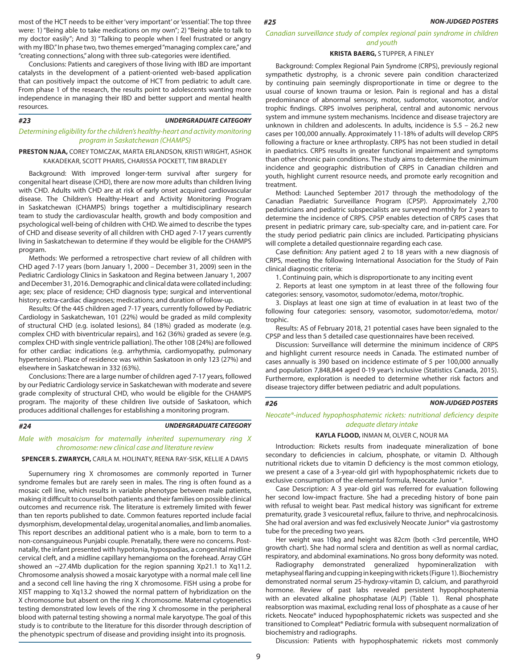most of the HCT needs to be either 'very important' or 'essential'. The top three  $\#25$  NON-JUDGED POSTERS were: 1) "Being able to take medications on my own"; 2) "Being able to talk to my doctor easily"; And 3) "Talking to people when I feel frustrated or angry with my IBD." In phase two, two themes emerged "managing complex care," and "creating connections," along with three sub-categories were identified.

Conclusions: Patients and caregivers of those living with IBD are important catalysts in the development of a patient-oriented web-based application that can positively impact the outcome of HCT from pediatric to adult care. From phase 1 of the research, the results point to adolescents wanting more independence in managing their IBD and better support and mental health resources.

#### *UNDERGRADUATE CATEGORY*

#### *Determining eligibility for the children's healthy-heart and activity monitoring program in Saskatchewan (CHAMPS)*

#### **PRESTON NJAA,** COREY TOMCZAK, MARTA ERLANDSON, KRISTI WRIGHT, ASHOK KAKADEKAR, SCOTT PHARIS, CHARISSA POCKETT, TIM BRADLEY

Background: With improved longer-term survival after surgery for congenital heart disease (CHD), there are now more adults than children living with CHD. Adults with CHD are at risk of early onset acquired cardiovascular disease. The Children's Healthy-Heart and Activity Monitoring Program in Saskatchewan (CHAMPS) brings together a multidisciplinary research team to study the cardiovascular health, growth and body composition and psychological well-being of children with CHD. We aimed to describe the types of CHD and disease severity of all children with CHD aged 7-17 years currently living in Saskatchewan to determine if they would be eligible for the CHAMPS program.

Methods: We performed a retrospective chart review of all children with CHD aged 7-17 years (born January 1, 2000 – December 31, 2009) seen in the Pediatric Cardiology Clinics in Saskatoon and Regina between January 1, 2007 and December 31, 2016. Demographic and clinical data were collated including: age; sex; place of residence; CHD diagnosis type; surgical and interventional history; extra-cardiac diagnoses; medications; and duration of follow-up.

Results: Of the 445 children aged 7-17 years, currently followed by Pediatric Cardiology in Saskatchewan, 101 (22%) would be graded as mild complexity of structural CHD (e.g. isolated lesions), 84 (18%) graded as moderate (e.g. complex CHD with biventricular repairs), and 162 (36%) graded as severe (e.g. complex CHD with single ventricle palliation). The other 108 (24%) are followed for other cardiac indications (e.g. arrhythmia, cardiomyopathy, pulmonary hypertension). Place of residence was within Saskatoon in only 123 (27%) and elsewhere in Saskatchewan in 332 (63%).

Conclusions: There are a large number of children aged 7-17 years, followed by our Pediatric Cardiology service in Saskatchewan with moderate and severe grade complexity of structural CHD, who would be eligible for the CHAMPS program. The majority of these children live outside of Saskatoon, which produces additional challenges for establishing a monitoring program.

#### *#24*

*#23*

#### *UNDERGRADUATE CATEGORY*

#### *Male with mosaicism for maternally inherited supernumerary ring X chromosome: new clinical case and literature review*

#### **SPENCER S. ZWARYCH,** CARLA M. HOLINATY, REENA RAY-SISK, KELLIE A DAVIS

Supernumery ring X chromosomes are commonly reported in Turner syndrome females but are rarely seen in males. The ring is often found as a mosaic cell line, which results in variable phenotype between male patients, making it difficult to counsel both patients and their families on possible clinical outcomes and recurrence risk. The literature is extremely limited with fewer than ten reports published to date. Common features reported include facial dysmorphism, developmental delay, urogenital anomalies, and limb anomalies. This report describes an additional patient who is a male, born to term to a non-consanguineous Punjabi couple. Prenatally, there were no concerns. Postnatally, the infant presented with hypotonia, hypospadias, a congenital midline cervical cleft, and a midline capillary hemangioma on the forehead. Array CGH showed an ~27.4Mb duplication for the region spanning Xp21.1 to Xq11.2. Chromosome analysis showed a mosaic karyotype with a normal male cell line and a second cell line having the ring X chromosome. FISH using a probe for XIST mapping to Xq13.2 showed the normal pattern of hybridization on the X chromosome but absent on the ring X chromosome. Maternal cytogenetics testing demonstrated low levels of the ring X chromosome in the peripheral blood with paternal testing showing a normal male karyotype. The goal of this study is to contribute to the literature for this disorder through description of the phenotypic spectrum of disease and providing insight into its prognosis.

#### *Canadian surveillance study of complex regional pain syndrome in children and youth*

#### **KRISTA BAERG,** S TUPPER, A FINLEY

Background: Complex Regional Pain Syndrome (CRPS), previously regional sympathetic dystrophy, is a chronic severe pain condition characterized by continuing pain seemingly disproportionate in time or degree to the usual course of known trauma or lesion. Pain is regional and has a distal predominance of abnormal sensory, motor, sudomotor, vasomotor, and/or trophic findings. CRPS involves peripheral, central and autonomic nervous system and immune system mechanisms. Incidence and disease trajectory are unknown in children and adolescents. In adults, incidence is 5.5 – 26.2 new cases per 100,000 annually. Approximately 11-18% of adults will develop CRPS following a fracture or knee arthroplasty. CRPS has not been studied in detail in paediatrics. CRPS results in greater functional impairment and symptoms than other chronic pain conditions. The study aims to determine the minimum incidence and geographic distribution of CRPS in Canadian children and youth, highlight current resource needs, and promote early recognition and treatment.

Method: Launched September 2017 through the methodology of the Canadian Paediatric Surveillance Program (CPSP). Approximately 2,700 pediatricians and pediatric subspecialists are surveyed monthly for 2 years to determine the incidence of CRPS. CPSP enables detection of CRPS cases that present in pediatric primary care, sub-specialty care, and in-patient care. For the study period pediatric pain clinics are included. Participating physicians will complete a detailed questionnaire regarding each case.

Case definition: Any patient aged 2 to 18 years with a new diagnosis of CRPS, meeting the following International Association for the Study of Pain clinical diagnostic criteria:

1. Continuing pain, which is disproportionate to any inciting event

2. Reports at least one symptom in at least three of the following four categories: sensory, vasomotor, sudomotor/edema, motor/trophic.

3. Displays at least one sign at time of evaluation in at least two of the following four categories: sensory, vasomotor, sudomotor/edema, motor/ trophic.

Results: AS of February 2018, 21 potential cases have been signaled to the CPSP and less than 5 detailed case questionnaires have been received.

Discussion: Surveillance will determine the minimum incidence of CRPS and highlight current resource needs in Canada. The estimated number of cases annually is 390 based on incidence estimate of 5 per 100,000 annually and population 7,848,844 aged 0-19 year's inclusive (Statistics Canada, 2015). Furthermore, exploration is needed to determine whether risk factors and disease trajectory differ between pediatric and adult populations.

#### *#26*

*NON-JUDGED POSTERS*

*Neocate®-induced hypophosphatemic rickets: nutritional deficiency despite adequate dietary intake*

#### **KAYLA FLOOD,** INMAN M, OLVER C, NOUR MA

Introduction: Rickets results from inadequate mineralization of bone secondary to deficiencies in calcium, phosphate, or vitamin D. Although nutritional rickets due to vitamin D deficiency is the most common etiology, we present a case of a 3-year-old girl with hypophosphatemic rickets due to exclusive consumption of the elemental formula, Neocate Junior ®.

Case Description: A 3 year-old girl was referred for evaluation following her second low-impact fracture. She had a preceding history of bone pain with refusal to weight bear. Past medical history was significant for extreme prematurity, grade 3 vesicouretal reflux, failure to thrive, and nephrocalcinosis. She had oral aversion and was fed exclusively Neocate Junior® via gastrostomy tube for the preceding two years.

Her weight was 10kg and height was 82cm (both <3rd percentile, WHO growth chart). She had normal sclera and dentition as well as normal cardiac, respiratory, and abdominal examinations. No gross bony deformity was noted.

Radiography demonstrated generalized hypomineralization with metaphyseal flaring and cupping in keeping with rickets (Figure 1). Biochemistry demonstrated normal serum 25-hydroxy-vitamin D, calcium, and parathyroid hormone. Review of past labs revealed persistent hypophosphatemia with an elevated alkaline phosphatase (ALP) (Table 1). Renal phosphate reabsorption was maximal, excluding renal loss of phosphate as a cause of her rickets. Neocate® induced hypophosphatemic rickets was suspected and she transitioned to Compleat® Pediatric formula with subsequent normalization of biochemistry and radiographs.

Discussion: Patients with hypophosphatemic rickets most commonly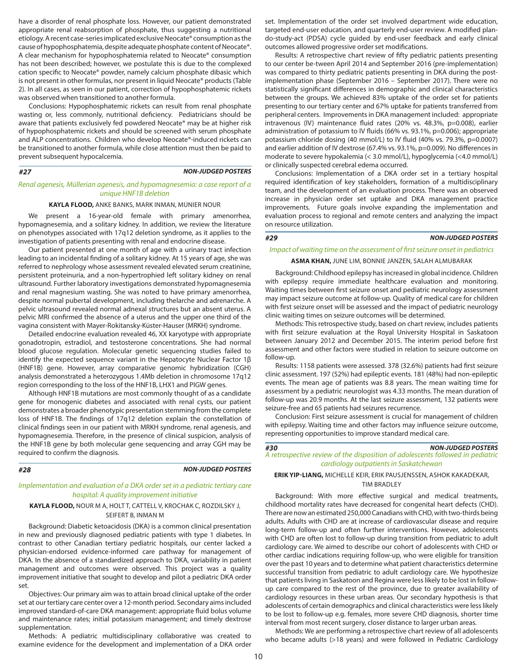have a disorder of renal phosphate loss. However, our patient demonstrated appropriate renal reabsorption of phosphate, thus suggesting a nutritional etiology. A recent case-series implicated exclusive Neocate® consumption as the cause of hypophosphatemia, despite adequate phosphate content of Neocate®. A clear mechanism for hypophosphatemia related to Neocate® consumption has not been described; however, we postulate this is due to the complexed cation specific to Neocate® powder, namely calcium phosphate dibasic which is not present in other formulas, nor present in liquid Neocate® products (Table 2). In all cases, as seen in our patient, correction of hypophosphatemic rickets was observed when transitioned to another formula.

Conclusions: Hypophosphatemic rickets can result from renal phosphate wasting or, less commonly, nutritional deficiency. Pediatricians should be aware that patients exclusively fed powdered Neocate® may be at higher risk of hypophosphatemic rickets and should be screened with serum phosphate and ALP concentrations. Children who develop Neocate®-induced rickets can be transitioned to another formula, while close attention must then be paid to prevent subsequent hypocalcemia.

#### *NON-JUDGED POSTERS*

#### *Renal agenesis, Müllerian agenesis, and hypomagnesemia: a case report of a unique HNF1B deletion*

#### **KAYLA FLOOD,** ANKE BANKS, MARK INMAN, MUNIER NOUR

We present a 16-year-old female with primary amenorrhea, hypomagnesemia, and a solitary kidney. In addition, we review the literature on phenotypes associated with 17q12 deletion syndrome, as it applies to the investigation of patients presenting with renal and endocrine disease.

Our patient presented at one month of age with a urinary tract infection leading to an incidental finding of a solitary kidney. At 15 years of age, she was referred to nephrology whose assessment revealed elevated serum creatinine, persistent proteinuria, and a non-hypertrophied left solitary kidney on renal ultrasound. Further laboratory investigations demonstrated hypomagnesemia and renal magnesium wasting. She was noted to have primary amenorrhea, despite normal pubertal development, including thelarche and adrenarche. A pelvic ultrasound revealed normal adnexal structures but an absent uterus. A pelvic MRI confirmed the absence of a uterus and the upper one third of the vagina consistent with Mayer-Rokitansky-Küster-Hauser (MRKH) syndrome.

Detailed endocrine evaluation revealed 46, XX karyotype with appropriate gonadotropin, estradiol, and testosterone concentrations. She had normal blood glucose regulation. Molecular genetic sequencing studies failed to identify the expected sequence variant in the Hepatocyte Nuclear Factor 1β (HNF1B) gene. However, array comparative genomic hybridization (CGH) analysis demonstrated a heterozygous 1.4Mb deletion in chromosome 17q12 region corresponding to the loss of the HNF1B, LHX1 and PIGW genes.

Although HNF1B mutations are most commonly thought of as a candidate gene for monogenic diabetes and associated with renal cysts, our patient demonstrates a broader phenotypic presentation stemming from the complete loss of HNF1B. The findings of 17q12 deletion explain the constellation of clinical findings seen in our patient with MRKH syndrome, renal agenesis, and hypomagnesemia. Therefore, in the presence of clinical suspicion, analysis of the HNF1B gene by both molecular gene sequencing and array CGH may be required to confirm the diagnosis.

*#27*

#### *#28 NON-JUDGED POSTERS*

#### *Implementation and evaluation of a DKA order set in a pediatric tertiary care hospital: A quality improvement initiative*

#### **KAYLA FLOOD,** NOUR M A, HOLT T, CATTELL V, KROCHAK C, ROZDILSKY J, SEIFERT B, INMAN M

Background: Diabetic ketoacidosis (DKA) is a common clinical presentation in new and previously diagnosed pediatric patients with type 1 diabetes. In contrast to other Canadian tertiary pediatric hospitals, our center lacked a physician-endorsed evidence-informed care pathway for management of DKA. In the absence of a standardized approach to DKA, variability in patient management and outcomes were observed. This project was a quality improvement initiative that sought to develop and pilot a pediatric DKA order set.

Objectives: Our primary aim was to attain broad clinical uptake of the order set at our tertiary care center over a 12-month period. Secondary aims included improved standard-of-care DKA management: appropriate fluid bolus volume and maintenance rates; initial potassium management; and timely dextrose supplementation.

Methods: A pediatric multidisciplinary collaborative was created to examine evidence for the development and implementation of a DKA order

set. Implementation of the order set involved department wide education, targeted end-user education, and quarterly end-user review. A modified plando-study-act (PDSA) cycle guided by end-user feedback and early clinical outcomes allowed progressive order set modifications.

Results: A retrospective chart review of fifty pediatric patients presenting to our center be-tween April 2014 and September 2016 (pre-implementation) was compared to thirty pediatric patients presenting in DKA during the postimplementation phase (September 2016 – September 2017). There were no statistically significant differences in demographic and clinical characteristics between the groups. We achieved 83% uptake of the order set for patients presenting to our tertiary center and 67% uptake for patients transferred from peripheral centers. Improvements in DKA management included: appropriate intravenous (IV) maintenance fluid rates (20% vs. 48.3%, p=0.008), earlier administration of potassium to IV fluids (66% vs. 93.1%, p=0.006); appropriate potassium chloride dosing (40 mmol/L) to IV fluid (40% vs. 79.3%, p=0.0007) and earlier addition of IV dextrose (67.4% vs. 93.1%, p=0.009). No differences in moderate to severe hypokalemia (< 3.0 mmol/L), hypoglycemia (<4.0 mmol/L) or clinically suspected cerebral edema occurred.

Conclusions: Implementation of a DKA order set in a tertiary hospital required identification of key stakeholders, formation of a multidisciplinary team, and the development of an evaluation process. There was an observed increase in physician order set uptake and DKA management practice improvements. Future goals involve expanding the implementation and evaluation process to regional and remote centers and analyzing the impact on resource utilization.

#### *#29*

#### *NON-JUDGED POSTERS*

#### *Impact of waiting time on the assessment of first seizure onset in pediatrics*

#### **ASMA KHAN,** JUNE LIM, BONNIE JANZEN, SALAH ALMUBARAK

Background: Childhood epilepsy has increased in global incidence. Children with epilepsy require immediate healthcare evaluation and monitoring. Waiting times between first seizure onset and pediatric neurology assessment may impact seizure outcome at follow-up. Quality of medical care for children with first seizure onset will be assessed and the impact of pediatric neurology clinic waiting times on seizure outcomes will be determined.

Methods: This retrospective study, based on chart review, includes patients with first seizure evaluation at the Royal University Hospital in Saskatoon between January 2012 and December 2015. The interim period before first assessment and other factors were studied in relation to seizure outcome on follow-up.

Results: 1158 patients were assessed. 378 (32.6%) patients had first seizure clinic assessment. 197 (52%) had epileptic events. 181 (48%) had non-epileptic events. The mean age of patients was 8.8 years. The mean waiting time for assessment by a pediatric neurologist was 4.33 months. The mean duration of follow-up was 20.9 months. At the last seizure assessment, 132 patients were seizure-free and 65 patients had seizures recurrence.

Conclusion: First seizure assessment is crucial for management of children with epilepsy. Waiting time and other factors may influence seizure outcome, representing opportunities to improve standard medical care.

#### *#30*

# *NON-JUDGED POSTERS*

*A retrospective review of the disposition of adolescents followed in pediatric cardiology outpatients in Saskatchewan*

#### **ERIK YIP-LIANG,** MICHELLE KEIR, ERIK PAUSJENSSEN, ASHOK KAKADEKAR, TIM BRADLEY

Background: With more effective surgical and medical treatments, childhood mortality rates have decreased for congenital heart defects (CHD). There are now an estimated 250,000 Canadians with CHD, with two-thirds being adults. Adults with CHD are at increase of cardiovascular disease and require long-term follow-up and often further interventions. However, adolescents with CHD are often lost to follow-up during transition from pediatric to adult cardiology care. We aimed to describe our cohort of adolescents with CHD or other cardiac indications requiring follow-up, who were eligible for transition over the past 10 years and to determine what patient characteristics determine successful transition from pediatric to adult cardiology care. We hypothesize that patients living in Saskatoon and Regina were less likely to be lost in followup care compared to the rest of the province, due to greater availability of cardiology resources in these urban areas. Our secondary hypothesis is that adolescents of certain demographics and clinical characteristics were less likely to be lost to follow-up e.g. females, more severe CHD diagnosis, shorter time interval from most recent surgery, closer distance to larger urban areas.

Methods: We are performing a retrospective chart review of all adolescents who became adults (>18 years) and were followed in Pediatric Cardiology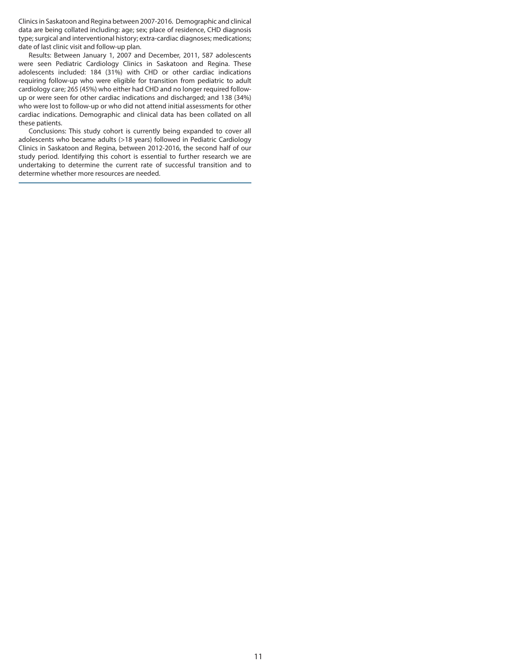Clinics in Saskatoon and Regina between 2007-2016. Demographic and clinical data are being collated including: age; sex; place of residence, CHD diagnosis type; surgical and interventional history; extra-cardiac diagnoses; medications; date of last clinic visit and follow-up plan.

Results: Between January 1, 2007 and December, 2011, 587 adolescents were seen Pediatric Cardiology Clinics in Saskatoon and Regina. These adolescents included: 184 (31%) with CHD or other cardiac indications requiring follow-up who were eligible for transition from pediatric to adult cardiology care; 265 (45%) who either had CHD and no longer required followup or were seen for other cardiac indications and discharged; and 138 (34%) who were lost to follow-up or who did not attend initial assessments for other cardiac indications. Demographic and clinical data has been collated on all these patients.

Conclusions: This study cohort is currently being expanded to cover all adolescents who became adults (>18 years) followed in Pediatric Cardiology Clinics in Saskatoon and Regina, between 2012-2016, the second half of our study period. Identifying this cohort is essential to further research we are undertaking to determine the current rate of successful transition and to determine whether more resources are needed.